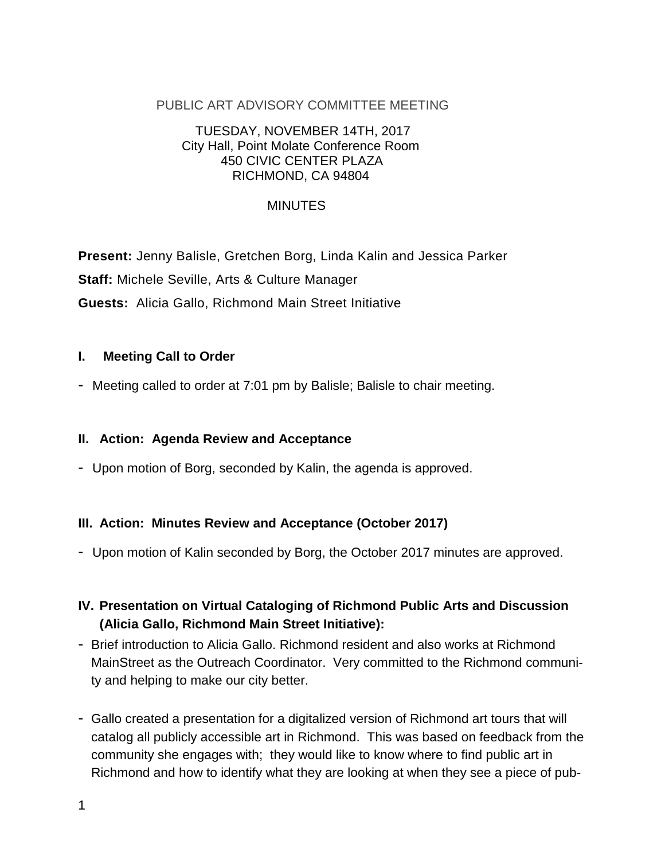#### PUBLIC ART ADVISORY COMMITTEE MEETING

#### TUESDAY, NOVEMBER 14TH, 2017 City Hall, Point Molate Conference Room 450 CIVIC CENTER PLAZA RICHMOND, CA 94804

### MINUTES

**Present:** Jenny Balisle, Gretchen Borg, Linda Kalin and Jessica Parker **Staff:** Michele Seville, Arts & Culture Manager **Guests:** Alicia Gallo, Richmond Main Street Initiative

#### **I. Meeting Call to Order**

- Meeting called to order at 7:01 pm by Balisle; Balisle to chair meeting.

#### **II. Action: Agenda Review and Acceptance**

- Upon motion of Borg, seconded by Kalin, the agenda is approved.

### **III. Action: Minutes Review and Acceptance (October 2017)**

- Upon motion of Kalin seconded by Borg, the October 2017 minutes are approved.

# **IV. Presentation on Virtual Cataloging of Richmond Public Arts and Discussion (Alicia Gallo, Richmond Main Street Initiative):**

- Brief introduction to Alicia Gallo. Richmond resident and also works at Richmond MainStreet as the Outreach Coordinator. Very committed to the Richmond community and helping to make our city better.
- Gallo created a presentation for a digitalized version of Richmond art tours that will catalog all publicly accessible art in Richmond. This was based on feedback from the community she engages with; they would like to know where to find public art in Richmond and how to identify what they are looking at when they see a piece of pub-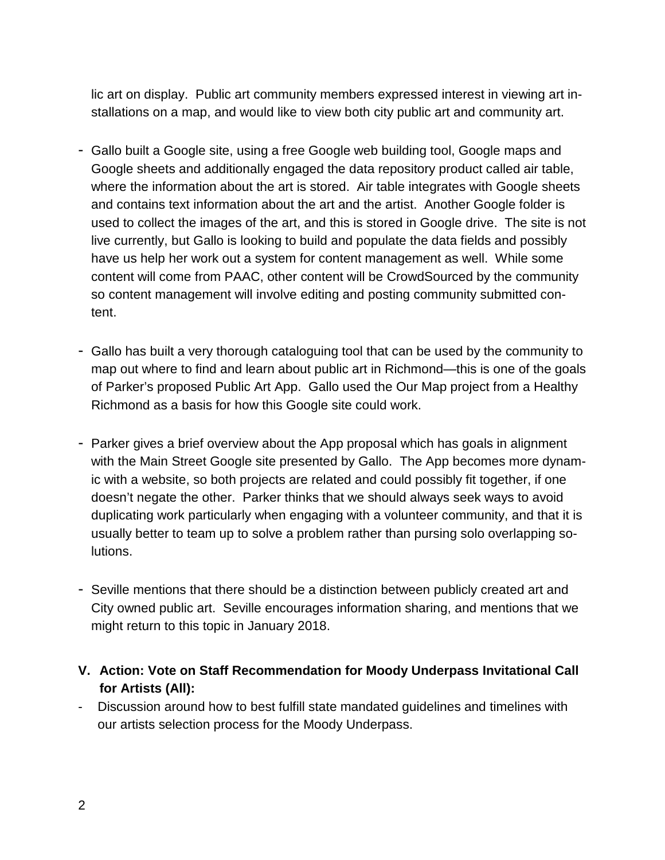lic art on display. Public art community members expressed interest in viewing art installations on a map, and would like to view both city public art and community art.

- Gallo built a Google site, using a free Google web building tool, Google maps and Google sheets and additionally engaged the data repository product called air table, where the information about the art is stored. Air table integrates with Google sheets and contains text information about the art and the artist. Another Google folder is used to collect the images of the art, and this is stored in Google drive. The site is not live currently, but Gallo is looking to build and populate the data fields and possibly have us help her work out a system for content management as well. While some content will come from PAAC, other content will be CrowdSourced by the community so content management will involve editing and posting community submitted content.
- Gallo has built a very thorough cataloguing tool that can be used by the community to map out where to find and learn about public art in Richmond—this is one of the goals of Parker's proposed Public Art App. Gallo used the Our Map project from a Healthy Richmond as a basis for how this Google site could work.
- Parker gives a brief overview about the App proposal which has goals in alignment with the Main Street Google site presented by Gallo. The App becomes more dynamic with a website, so both projects are related and could possibly fit together, if one doesn't negate the other. Parker thinks that we should always seek ways to avoid duplicating work particularly when engaging with a volunteer community, and that it is usually better to team up to solve a problem rather than pursing solo overlapping solutions.
- Seville mentions that there should be a distinction between publicly created art and City owned public art. Seville encourages information sharing, and mentions that we might return to this topic in January 2018.
- **V. Action: Vote on Staff Recommendation for Moody Underpass Invitational Call for Artists (All):**
- Discussion around how to best fulfill state mandated guidelines and timelines with our artists selection process for the Moody Underpass.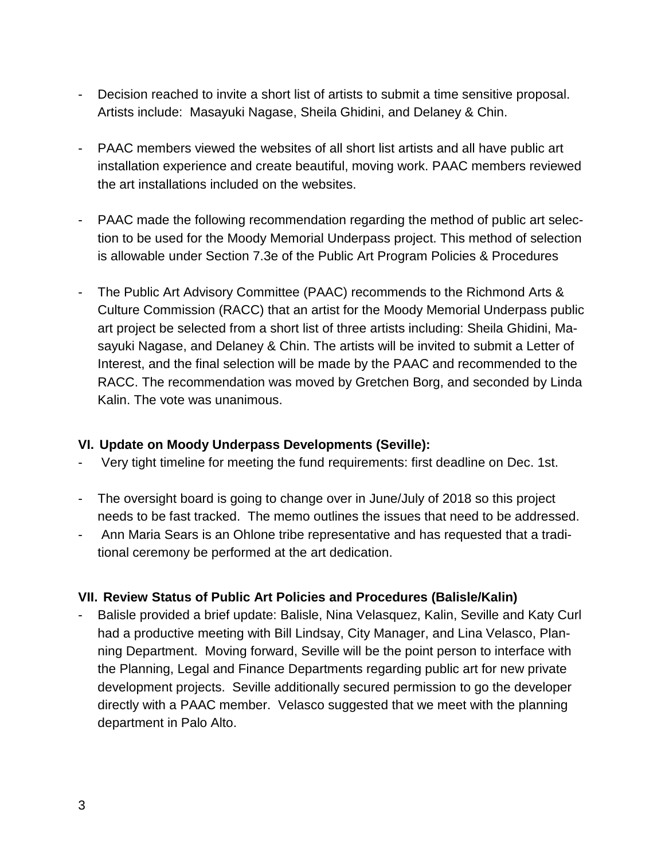- Decision reached to invite a short list of artists to submit a time sensitive proposal. Artists include: Masayuki Nagase, Sheila Ghidini, and Delaney & Chin.
- PAAC members viewed the websites of all short list artists and all have public art installation experience and create beautiful, moving work. PAAC members reviewed the art installations included on the websites.
- PAAC made the following recommendation regarding the method of public art selection to be used for the Moody Memorial Underpass project. This method of selection is allowable under Section 7.3e of the Public Art Program Policies & Procedures
- The Public Art Advisory Committee (PAAC) recommends to the Richmond Arts & Culture Commission (RACC) that an artist for the Moody Memorial Underpass public art project be selected from a short list of three artists including: Sheila Ghidini, Masayuki Nagase, and Delaney & Chin. The artists will be invited to submit a Letter of Interest, and the final selection will be made by the PAAC and recommended to the RACC. The recommendation was moved by Gretchen Borg, and seconded by Linda Kalin. The vote was unanimous.

### **VI. Update on Moody Underpass Developments (Seville):**

- Very tight timeline for meeting the fund requirements: first deadline on Dec. 1st.
- The oversight board is going to change over in June/July of 2018 so this project needs to be fast tracked. The memo outlines the issues that need to be addressed.
- Ann Maria Sears is an Ohlone tribe representative and has requested that a traditional ceremony be performed at the art dedication.

### **VII. Review Status of Public Art Policies and Procedures (Balisle/Kalin)**

Balisle provided a brief update: Balisle, Nina Velasquez, Kalin, Seville and Katy Curl had a productive meeting with Bill Lindsay, City Manager, and Lina Velasco, Planning Department. Moving forward, Seville will be the point person to interface with the Planning, Legal and Finance Departments regarding public art for new private development projects. Seville additionally secured permission to go the developer directly with a PAAC member. Velasco suggested that we meet with the planning department in Palo Alto.